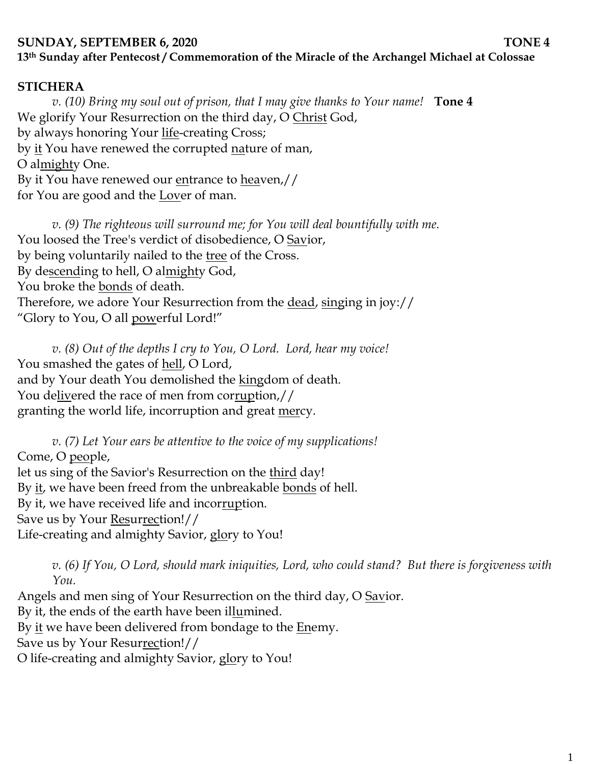# **SUNDAY, SEPTEMBER 6, 2020 TONE 4**

## **13th Sunday after Pentecost / Commemoration of the Miracle of the Archangel Michael at Colossae**

## **STICHERA**

*v. (10) Bring my soul out of prison, that I may give thanks to Your name!* **Tone 4** We glorify Your Resurrection on the third day, O Christ God, by always honoring Your life-creating Cross; by it You have renewed the corrupted nature of man, O almighty One. By it You have renewed our entrance to heaven,// for You are good and the Lover of man.

*v. (9) The righteous will surround me; for You will deal bountifully with me.*  You loosed the Tree's verdict of disobedience, O Savior, by being voluntarily nailed to the tree of the Cross. By descending to hell, O almighty God, You broke the bonds of death. Therefore, we adore Your Resurrection from the dead, singing in joy:// "Glory to You, O all powerful Lord!"

*v. (8) Out of the depths I cry to You, O Lord. Lord, hear my voice!*  You smashed the gates of <u>hell</u>, O Lord, and by Your death You demolished the kingdom of death. You delivered the race of men from corruption,// granting the world life, incorruption and great <u>mer</u>cy.

*v. (7) Let Your ears be attentive to the voice of my supplications!* Come, O people, let us sing of the Savior's Resurrection on the third day! By it, we have been freed from the unbreakable bonds of hell. By it, we have received life and incorruption. Save us by Your Resurrection!// Life-creating and almighty Savior, glory to You!

*v. (6) If You, O Lord, should mark iniquities, Lord, who could stand? But there is forgiveness with You.* 

Angels and men sing of Your Resurrection on the third day, O Savior. By it, the ends of the earth have been ill $u$ mined. By it we have been delivered from bondage to the Enemy. Save us by Your Resurrection!// O life-creating and almighty Savior, glory to You!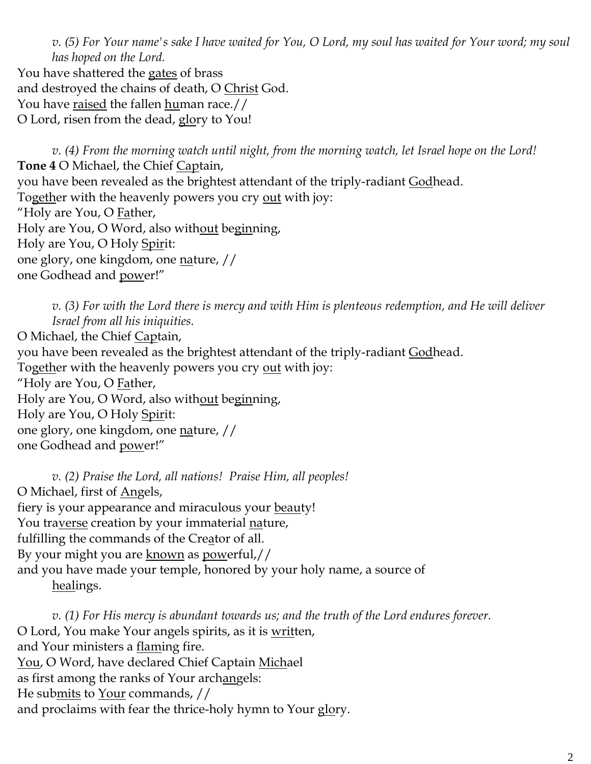*v. (5) For Your name's sake I have waited for You, O Lord, my soul has waited for Your word; my soul has hoped on the Lord.*  You have shattered the gates of brass

and destroyed the chains of death, O Christ God. You have raised the fallen human race.//

O Lord, risen from the dead, glory to You!

*v. (4) From the morning watch until night, from the morning watch, let Israel hope on the Lord!*  **Tone 4** O Michael, the Chief Captain, you have been revealed as the brightest attendant of the triply-radiant Godhead. Together with the heavenly powers you cry out with joy: "Holy are You, O Father, Holy are You, O Word, also without beginning, Holy are You, O Holy Spirit: one glory, one kingdom, one nature, // one Godhead and power!"

*v. (3) For with the Lord there is mercy and with Him is plenteous redemption, and He will deliver Israel from all his iniquities.* O Michael, the Chief Captain, you have been revealed as the brightest attendant of the triply-radiant Godhead. Together with the heavenly powers you cry out with joy: "Holy are You, O Father, Holy are You, O Word, also without beginning,

Holy are You, O Holy Spirit:

one glory, one kingdom, one nature, //

one Godhead and power!"

*v. (2) Praise the Lord, all nations! Praise Him, all peoples!* O Michael, first of Angels, fiery is your appearance and miraculous your beauty! You traverse creation by your immaterial nature, fulfilling the commands of the Creator of all. By your might you are known as powerful,// and you have made your temple, honored by your holy name, a source of healings.

*v. (1) For His mercy is abundant towards us; and the truth of the Lord endures forever.*  O Lord, You make Your angels spirits, as it is written, and Your ministers a flaming fire. You, O Word, have declared Chief Captain Michael as first among the ranks of Your archangels: He submits to Your commands, // and proclaims with fear the thrice-holy hymn to Your glory.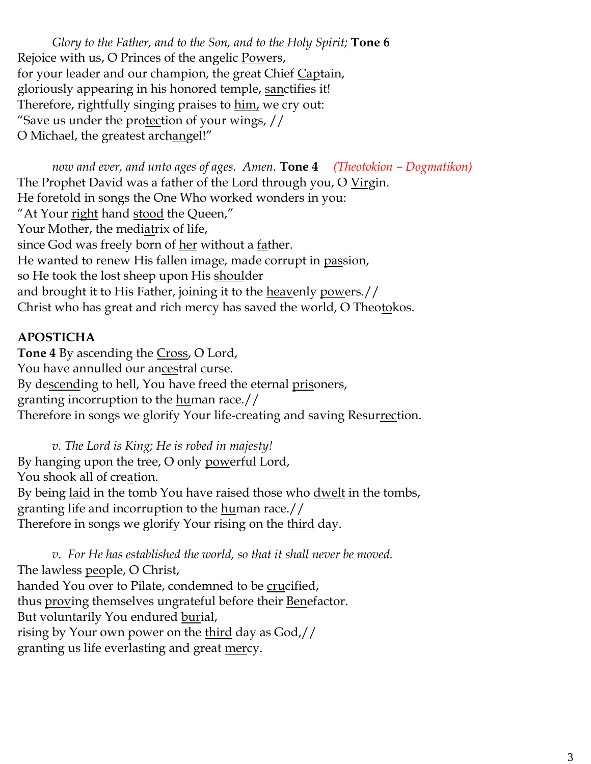*Glory to the Father, and to the Son, and to the Holy Spirit;* **Tone 6** Rejoice with us, O Princes of the angelic Powers, for your leader and our champion, the great Chief Captain, gloriously appearing in his honored temple, sanctifies it! Therefore, rightfully singing praises to him, we cry out: "Save us under the protection of your wings,  $//$ O Michael, the greatest archangel!"

*now and ever, and unto ages of ages. Amen.* **Tone 4** *(Theotokion – Dogmatikon)* The Prophet David was a father of the Lord through you, O Virgin. He foretold in songs the One Who worked wonders in you: "At Your right hand stood the Queen," Your Mother, the mediatrix of life, since God was freely born of <u>her</u> without a <u>fa</u>ther. He wanted to renew His fallen image, made corrupt in passion, so He took the lost sheep upon His shoulder and brought it to His Father, joining it to the heavenly powers.// Christ who has great and rich mercy has saved the world, O Theotokos.

#### **APOSTICHA**

Tone 4 By ascending the Cross, O Lord, You have annulled our ancestral curse. By descending to hell, You have freed the eternal <u>pris</u>oners, granting incorruption to the <u>hu</u>man race.// Therefore in songs we glorify Your life-creating and saving Resurrection.

*v. The Lord is King; He is robed in majesty!*  By hanging upon the tree, O only powerful Lord, You shook all of creation. By being laid in the tomb You have raised those who dwelt in the tombs, granting life and incorruption to the human race.// Therefore in songs we glorify Your rising on the <u>third</u> day.

*v. For He has established the world, so that it shall never be moved.* The lawless people, O Christ, handed You over to Pilate, condemned to be crucified, thus proving themselves ungrateful before their Benefactor. But voluntarily You endured burial, rising by Your own power on the <u>third</u> day as God,// granting us life everlasting and great mercy.